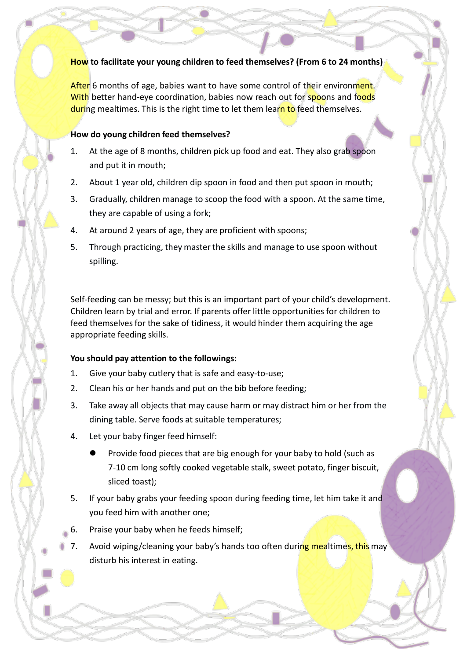# **How to facilitate your young children to feed themselves? (From 6 to 24 months)**

After 6 months of age, babies want to have some control of their environment. With better hand-eye coordination, babies now reach out for spoons and foods during mealtimes. This is the right time to let them learn to feed themselves.

#### **How do young children feed themselves?**

- 1. At the age of 8 months, children pick up food and eat. They also grab spoon and put it in mouth;
- 2. About 1 year old, children dip spoon in food and then put spoon in mouth;
- 3. Gradually, children manage to scoop the food with a spoon. At the same time, they are capable of using a fork;
- 4. At around 2 years of age, they are proficient with spoons;
- 5. Through practicing, they master the skills and manage to use spoon without spilling.

Self-feeding can be messy; but this is an important part of your child's development. Children learn by trial and error. If parents offer little opportunities for children to feed themselves for the sake of tidiness, it would hinder them acquiring the age appropriate feeding skills.

# **You should pay attention to the followings:**

- 1. Give your baby cutlery that is safe and easy-to-use;
- 2. Clean his or her hands and put on the bib before feeding;
- 3. Take away all objects that may cause harm or may distract him or her from the dining table. Serve foods at suitable temperatures;
- 4. Let your baby finger feed himself:
	- Provide food pieces that are big enough for your baby to hold (such as 7-10 cm long softly cooked vegetable stalk, sweet potato, finger biscuit, sliced toast);
- 5. If your baby grabs your feeding spoon during feeding time, let him take it and you feed him with another one;
- 6. Praise your baby when he feeds himself;
- 7. Avoid wiping/cleaning your baby's hands too often during mealtimes, this may disturb his interest in eating.